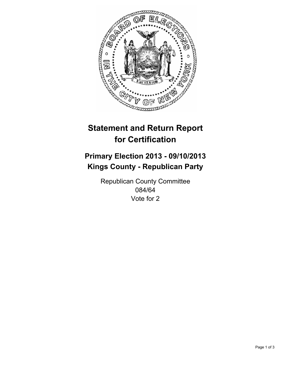

# **Statement and Return Report for Certification**

# **Primary Election 2013 - 09/10/2013 Kings County - Republican Party**

Republican County Committee 084/64 Vote for 2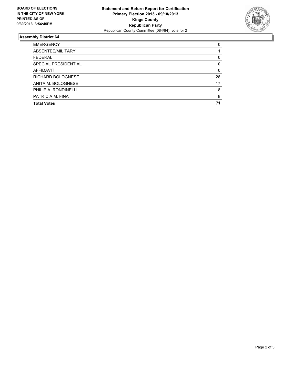

## **Assembly District 64**

| <b>EMERGENCY</b>     | 0        |
|----------------------|----------|
| ABSENTEE/MILITARY    |          |
| <b>FEDERAL</b>       | 0        |
| SPECIAL PRESIDENTIAL | 0        |
| <b>AFFIDAVIT</b>     | $\Omega$ |
| RICHARD BOLOGNESE    | 28       |
| ANITA M. BOLOGNESE   | 17       |
| PHILIP A. RONDINELLI | 18       |
| PATRICIA M. FINA     | 8        |
| <b>Total Votes</b>   | 71       |